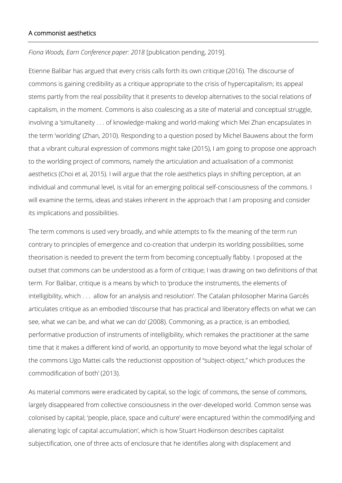## A commonist aesthetics

*Fiona Woods, Earn Conference paper: 2018* [publication pending, 2019].

Etienne Balibar has argued that every crisis calls forth its own critique (2016). The discourse of commons is gaining credibility as a critique appropriate to the crisis of hypercapitalism; its appeal stems partly from the real possibility that it presents to develop alternatives to the social relations of capitalism, in the moment. Commons is also coalescing as a site of material and conceptual struggle, involving a 'simultaneity . . . of knowledge-making and world-making' which Mei Zhan encapsulates in the term 'worlding' (Zhan, 2010). Responding to a question posed by Michel Bauwens about the form that a vibrant cultural expression of commons might take (2015), I am going to propose one approach to the worlding project of commons, namely the articulation and actualisation of a commonist aesthetics (Choi et al, 2015). I will argue that the role aesthetics plays in shifting perception, at an individual and communal level, is vital for an emerging political self-consciousness of the commons. I will examine the terms, ideas and stakes inherent in the approach that I am proposing and consider its implications and possibilities.

The term commons is used very broadly, and while attempts to fix the meaning of the term run contrary to principles of emergence and co-creation that underpin its worlding possibilities, some theorisation is needed to prevent the term from becoming conceptually flabby. I proposed at the outset that commons can be understood as a form of critique; I was drawing on two definitions of that term. For Balibar, critique is a means by which to 'produce the instruments, the elements of intelligibility, which . . . allow for an analysis and resolution'. The Catalan philosopher Marina Garcés articulates critique as an embodied 'discourse that has practical and liberatory effects on what we can see, what we can be, and what we can do' (2008). Commoning, as a practice, is an embodied, performative production of instruments of intelligibility, which remakes the practitioner at the same time that it makes a different kind of world, an opportunity to move beyond what the legal scholar of the commons Ugo Mattei calls 'the reductionist opposition of "subject-object," which produces the commodification of both' (2013).

As material commons were eradicated by capital, so the logic of commons, the sense of commons, largely disappeared from collective consciousness in the over-developed world. Common sense was colonised by capital; 'people, place, space and culture' were encaptured 'within the commodifying and alienating logic of capital accumulation', which is how Stuart Hodkinson describes capitalist subjectification, one of three acts of enclosure that he identifies along with displacement and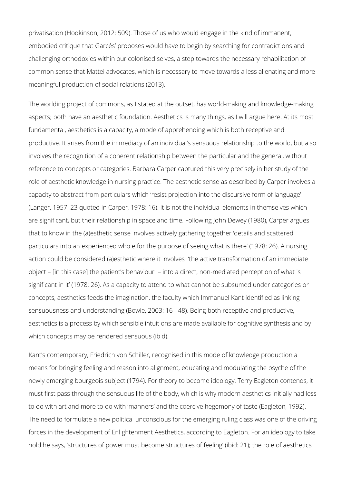privatisation (Hodkinson, 2012: 509). Those of us who would engage in the kind of immanent, embodied critique that Garcés' proposes would have to begin by searching for contradictions and challenging orthodoxies within our colonised selves, a step towards the necessary rehabilitation of common sense that Mattei advocates, which is necessary to move towards a less alienating and more meaningful production of social relations (2013).

The worlding project of commons, as I stated at the outset, has world-making and knowledge-making aspects; both have an aesthetic foundation. Aesthetics is many things, as I will argue here. At its most fundamental, aesthetics is a capacity, a mode of apprehending which is both receptive and productive. It arises from the immediacy of an individual's sensuous relationship to the world, but also involves the recognition of a coherent relationship between the particular and the general, without reference to concepts or categories. Barbara Carper captured this very precisely in her study of the role of aesthetic knowledge in nursing practice. The aesthetic sense as described by Carper involves a capacity to abstract from particulars which 'resist projection into the discursive form of language' (Langer, 1957: 23 quoted in Carper, 1978: 16). It is not the individual elements in themselves which are significant, but their relationship in space and time. Following John Dewey (1980), Carper argues that to know in the (a)esthetic sense involves actively gathering together 'details and scattered particulars into an experienced whole for the purpose of seeing what is there' (1978: 26). A nursing action could be considered (a)esthetic where it involves 'the active transformation of an immediate object – [in this case] the patient's behaviour – into a direct, non-mediated perception of what is significant in it' (1978: 26). As a capacity to attend to what cannot be subsumed under categories or concepts, aesthetics feeds the imagination, the faculty which Immanuel Kant identified as linking sensuousness and understanding (Bowie, 2003: 16 - 48). Being both receptive and productive, aesthetics is a process by which sensible intuitions are made available for cognitive synthesis and by which concepts may be rendered sensuous (ibid).

Kant's contemporary, Friedrich von Schiller, recognised in this mode of knowledge production a means for bringing feeling and reason into alignment, educating and modulating the psyche of the newly emerging bourgeois subject (1794). For theory to become ideology, Terry Eagleton contends, it must first pass through the sensuous life of the body, which is why modern aesthetics initially had less to do with art and more to do with 'manners' and the coercive hegemony of taste (Eagleton, 1992). The need to formulate a new political unconscious for the emerging ruling class was one of the driving forces in the development of Enlightenment Aesthetics, according to Eagleton. For an ideology to take hold he says, 'structures of power must become structures of feeling' (ibid: 21); the role of aesthetics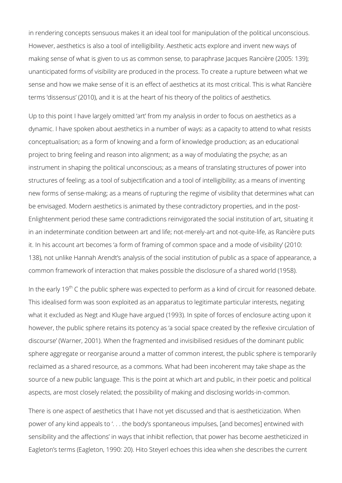in rendering concepts sensuous makes it an ideal tool for manipulation of the political unconscious. However, aesthetics is also a tool of intelligibility. Aesthetic acts explore and invent new ways of making sense of what is given to us as common sense, to paraphrase Jacques Rancière (2005: 139); unanticipated forms of visibility are produced in the process. To create a rupture between what we sense and how we make sense of it is an effect of aesthetics at its most critical. This is what Rancière terms 'dissensus' (2010), and it is at the heart of his theory of the politics of aesthetics.

Up to this point I have largely omitted 'art' from my analysis in order to focus on aesthetics as a dynamic. I have spoken about aesthetics in a number of ways: as a capacity to attend to what resists conceptualisation; as a form of knowing and a form of knowledge production; as an educational project to bring feeling and reason into alignment; as a way of modulating the psyche; as an instrument in shaping the political unconscious; as a means of translating structures of power into structures of feeling; as a tool of subjectification and a tool of intelligibility; as a means of inventing new forms of sense-making; as a means of rupturing the regime of visibility that determines what can be envisaged. Modern aesthetics is animated by these contradictory properties, and in the post-Enlightenment period these same contradictions reinvigorated the social institution of art, situating it in an indeterminate condition between art and life; not-merely-art and not-quite-life, as Rancière puts it. In his account art becomes 'a form of framing of common space and a mode of visibility' (2010: 138), not unlike Hannah Arendt's analysis of the social institution of public as a space of appearance, a common framework of interaction that makes possible the disclosure of a shared world (1958).

In the early 19<sup>th</sup> C the public sphere was expected to perform as a kind of circuit for reasoned debate. This idealised form was soon exploited as an apparatus to legitimate particular interests, negating what it excluded as Negt and Kluge have argued (1993). In spite of forces of enclosure acting upon it however, the public sphere retains its potency as 'a social space created by the reflexive circulation of discourse' (Warner, 2001). When the fragmented and invisibilised residues of the dominant public sphere aggregate or reorganise around a matter of common interest, the public sphere is temporarily reclaimed as a shared resource, as a commons. What had been incoherent may take shape as the source of a new public language. This is the point at which art and public, in their poetic and political aspects, are most closely related; the possibility of making and disclosing worlds-in-common.

There is one aspect of aesthetics that I have not yet discussed and that is aestheticization. When power of any kind appeals to '. . . the body's spontaneous impulses, [and becomes] entwined with sensibility and the affections' in ways that inhibit reflection, that power has become aestheticized in Eagleton's terms (Eagleton, 1990: 20). Hito Steyerl echoes this idea when she describes the current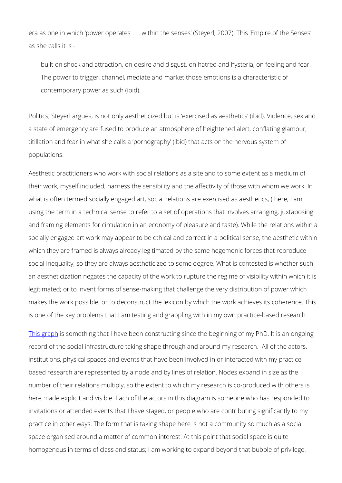era as one in which 'power operates . . . within the senses' (Steyerl, 2007). This 'Empire of the Senses' as she calls it is -

built on shock and attraction, on desire and disgust, on hatred and hysteria, on feeling and fear. The power to trigger, channel, mediate and market those emotions is a characteristic of contemporary power as such (ibid).

Politics, Steyerl argues, is not only aestheticized but is 'exercised as aesthetics' (ibid). Violence, sex and a state of emergency are fused to produce an atmosphere of heightened alert, conflating glamour, titillation and fear in what she calls a 'pornography' (ibid) that acts on the nervous system of populations.

Aesthetic practitioners who work with social relations as a site and to some extent as a medium of their work, myself included, harness the sensibility and the affectivity of those with whom we work. In what is often termed socially engaged art, social relations are exercised as aesthetics, ( here, I am using the term in a technical sense to refer to a set of operations that involves arranging, juxtaposing and framing elements for circulation in an economy of pleasure and taste). While the relations within a socially engaged art work may appear to be ethical and correct in a political sense, the aesthetic within which they are framed is always already legitimated by the same hegemonic forces that reproduce social inequality, so they are always aestheticized to some degree. What is contested is whether such an aestheticization negates the capacity of the work to rupture the regime of visibility within which it is legitimated; or to invent forms of sense-making that challenge the very distribution of power which makes the work possible; or to deconstruct the lexicon by which the work achieves its coherence. This is one of the key problems that I am testing and grappling with in my own practice-based research

[This graph](https://graphcommons.com/graphs/3b11d5a0-8748-48aa-a4c5-9bafdaf524b3?auto=true&layout=fd&webgl=false) is something that I have been constructing since the beginning of my PhD. It is an ongoing record of the social infrastructure taking shape through and around my research. All of the actors, institutions, physical spaces and events that have been involved in or interacted with my practicebased research are represented by a node and by lines of relation. Nodes expand in size as the number of their relations multiply, so the extent to which my research is co-produced with others is here made explicit and visible. Each of the actors in this diagram is someone who has responded to invitations or attended events that I have staged, or people who are contributing significantly to my practice in other ways. The form that is taking shape here is not a community so much as a social space organised around a matter of common interest. At this point that social space is quite homogenous in terms of class and status; I am working to expand beyond that bubble of privilege.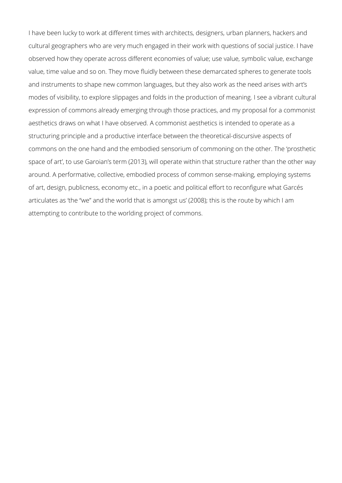I have been lucky to work at different times with architects, designers, urban planners, hackers and cultural geographers who are very much engaged in their work with questions of social justice. I have observed how they operate across different economies of value; use value, symbolic value, exchange value, time value and so on. They move fluidly between these demarcated spheres to generate tools and instruments to shape new common languages, but they also work as the need arises with art's modes of visibility, to explore slippages and folds in the production of meaning. I see a vibrant cultural expression of commons already emerging through those practices, and my proposal for a commonist aesthetics draws on what I have observed. A commonist aesthetics is intended to operate as a structuring principle and a productive interface between the theoretical-discursive aspects of commons on the one hand and the embodied sensorium of commoning on the other. The 'prosthetic space of art', to use Garoian's term (2013), will operate within that structure rather than the other way around. A performative, collective, embodied process of common sense-making, employing systems of art, design, publicness, economy etc., in a poetic and political effort to reconfigure what Garcés articulates as 'the "we" and the world that is amongst us' (2008); this is the route by which I am attempting to contribute to the worlding project of commons.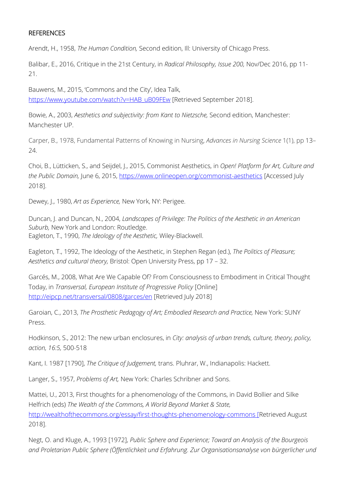## **REFERENCES**

Arendt, H., 1958, *The Human Condition,* Second edition, Ill: University of Chicago Press.

Balibar, E., 2016, Critique in the 21st Century, in *Radical Philosophy, Issue 200,* Nov/Dec 2016, pp 11- 21.

Bauwens, M., 2015, 'Commons and the City', Idea Talk, [https://www.youtube.com/watch?v=HAB\\_uB09FEw](https://www.youtube.com/watch?v=HAB_uB09FEw) [Retrieved September 2018].

Bowie, A., 2003, *Aesthetics and subjectivity: from Kant to Nietzsche,* Second edition, Manchester: Manchester UP.

Carper, B., 1978, Fundamental Patterns of Knowing in Nursing, *Advances in Nursing Science* 1(1), pp 13– 24.

Choi, B., Lütticken, S., and Seijdel, J., 2015, Commonist Aesthetics, in *Open! Platform for Art, Culture and*  the Public Domain, June 6, 2015,<https://www.onlineopen.org/commonist-aesthetics> [Accessed July 2018].

Dewey, J., 1980, *Art as Experience,* New York, NY: Perigee.

Duncan, J. and Duncan, N., 2004, *Landscapes of Privilege: The Politics of the Aesthetic in an American Suburb,* New York and London: Routledge. Eagleton, T., 1990, *The Ideology of the Aesthetic,* Wiley-Blackwell.

Eagleton, T., 1992, The Ideology of the Aesthetic, in Stephen Regan (ed.), *The Politics of Pleasure; Aesthetics and cultural theory,* Bristol: Open University Press, pp 17 – 32.

Garcés, M., 2008, What Are We Capable Of? From Consciousness to Embodiment in Critical Thought Today, in *Transversal, European Institute of Progressive Policy* [Online] <http://eipcp.net/transversal/0808/garces/en> [Retrieved July 2018]

Garoian, C., 2013, *The Prosthetic Pedagogy of Art; Embodied Research and Practice,* New York: SUNY Press.

Hodkinson, S., 2012: The new urban enclosures, in *City: analysis of urban trends, culture, theory, policy, action, 16:5,* 500-518

Kant, I. 1987 [1790], *The Critique of Judgement,* trans. Pluhrar, W., Indianapolis: Hackett.

Langer, S., 1957, *Problems of Art,* New York: Charles Schribner and Sons.

Mattei, U., 2013, First thoughts for a phenomenology of the Commons, in David Bollier and Silke Helfrich (eds) *The Wealth of the Commons, A World Beyond Market & State,* <http://wealthofthecommons.org/essay/first-thoughts-phenomenology-commons> [Retrieved August 2018].

Negt, O. and Kluge, A., 1993 [1972], *Public Sphere and Experience; Toward an Analysis of the Bourgeois and Proletarian Public Sphere (Öffentlichkeit und Erfahrung. Zur Organisationsanalyse von bürgerlicher und*